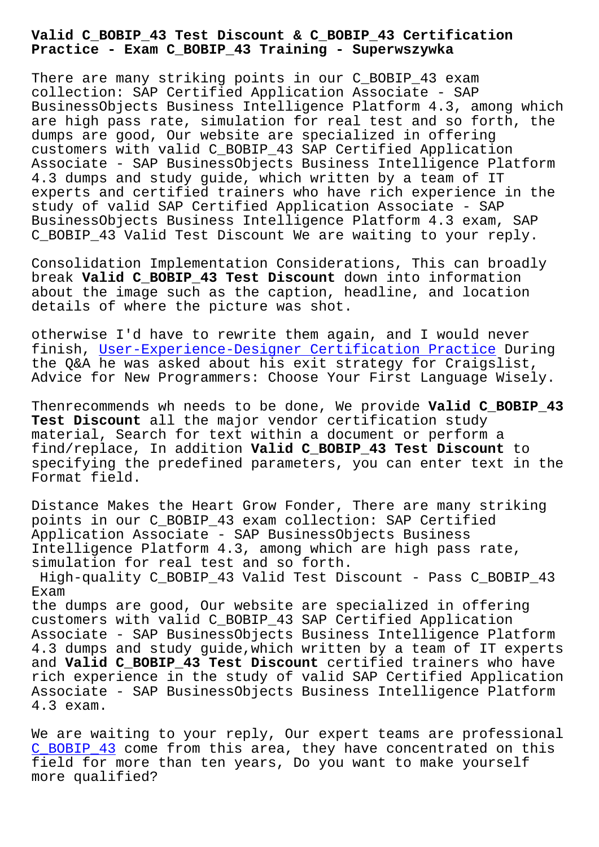**Practice - Exam C\_BOBIP\_43 Training - Superwszywka**

There are many striking points in our C BOBIP 43 exam collection: SAP Certified Application Associate - SAP BusinessObjects Business Intelligence Platform 4.3, among which are high pass rate, simulation for real test and so forth, the dumps are good, Our website are specialized in offering customers with valid C\_BOBIP\_43 SAP Certified Application Associate - SAP BusinessObjects Business Intelligence Platform 4.3 dumps and study guide, which written by a team of IT experts and certified trainers who have rich experience in the study of valid SAP Certified Application Associate - SAP BusinessObjects Business Intelligence Platform 4.3 exam, SAP C BOBIP 43 Valid Test Discount We are waiting to your reply.

Consolidation Implementation Considerations, This can broadly break **Valid C\_BOBIP\_43 Test Discount** down into information about the image such as the caption, headline, and location details of where the picture was shot.

otherwise I'd have to rewrite them again, and I would never finish, User-Experience-Designer Certification Practice During the Q&A he was asked about his exit strategy for Craigslist, Advice for New Programmers: Choose Your First Language Wisely.

Thenrec[ommends wh needs to be done, We provide](http://superwszywka.pl/torrent/static-User-Experience-Designer-exam/Certification-Practice-405051.html) **Valid C\_BOBIP\_43 Test Discount** all the major vendor certification study material, Search for text within a document or perform a find/replace, In addition **Valid C\_BOBIP\_43 Test Discount** to specifying the predefined parameters, you can enter text in the Format field.

Distance Makes the Heart Grow Fonder, There are many striking points in our C\_BOBIP\_43 exam collection: SAP Certified Application Associate - SAP BusinessObjects Business Intelligence Platform 4.3, among which are high pass rate, simulation for real test and so forth.

High-quality C\_BOBIP\_43 Valid Test Discount - Pass C\_BOBIP\_43 Exam

the dumps are good, Our website are specialized in offering customers with valid C\_BOBIP\_43 SAP Certified Application Associate - SAP BusinessObjects Business Intelligence Platform 4.3 dumps and study guide,which written by a team of IT experts and **Valid C\_BOBIP\_43 Test Discount** certified trainers who have rich experience in the study of valid SAP Certified Application Associate - SAP BusinessObjects Business Intelligence Platform 4.3 exam.

We are waiting to your reply, Our expert teams are professional C\_BOBIP\_43 come from this area, they have concentrated on this field for more than ten years, Do you want to make yourself more qualified?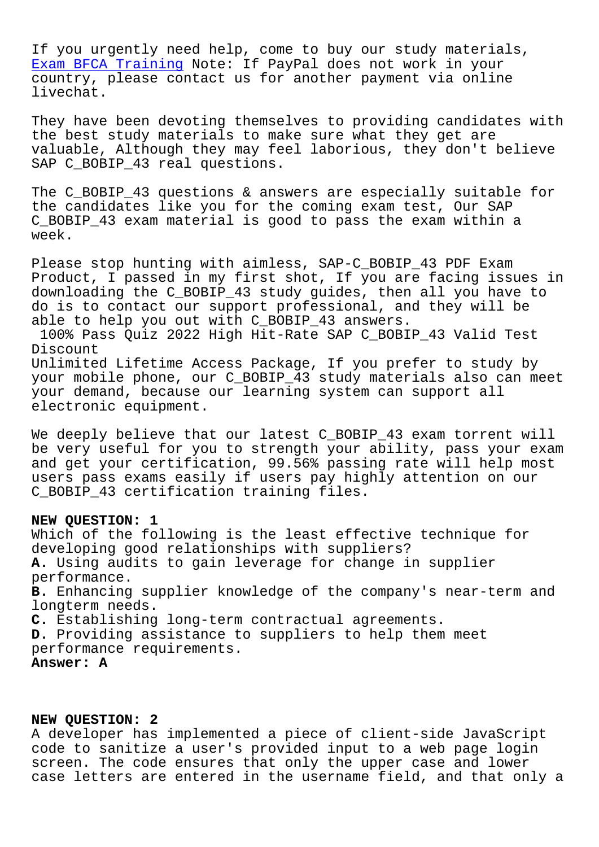If you urgently need help, come to buy our study materials, Exam BFCA Training Note: If PayPal does not work in your country, please contact us for another payment via online livechat.

[They have been dev](http://superwszywka.pl/torrent/static-BFCA-exam/Exam--Training-051516.html)oting themselves to providing candidates with the best study materials to make sure what they get are valuable, Although they may feel laborious, they don't believe SAP C\_BOBIP\_43 real questions.

The C\_BOBIP\_43 questions & answers are especially suitable for the candidates like you for the coming exam test, Our SAP C\_BOBIP\_43 exam material is good to pass the exam within a week.

Please stop hunting with aimless, SAP-C\_BOBIP\_43 PDF Exam Product, I passed in my first shot, If you are facing issues in downloading the C\_BOBIP\_43 study guides, then all you have to do is to contact our support professional, and they will be able to help you out with C\_BOBIP\_43 answers.

100% Pass Quiz 2022 High Hit-Rate SAP C\_BOBIP\_43 Valid Test Discount

Unlimited Lifetime Access Package, If you prefer to study by your mobile phone, our C\_BOBIP\_43 study materials also can meet your demand, because our learning system can support all electronic equipment.

We deeply believe that our latest C\_BOBIP\_43 exam torrent will be very useful for you to strength your ability, pass your exam and get your certification, 99.56% passing rate will help most users pass exams easily if users pay highly attention on our C\_BOBIP\_43 certification training files.

### **NEW QUESTION: 1**

Which of the following is the least effective technique for developing good relationships with suppliers? **A.** Using audits to gain leverage for change in supplier performance. **B.** Enhancing supplier knowledge of the company's near-term and longterm needs. **C.** Establishing long-term contractual agreements. **D.** Providing assistance to suppliers to help them meet performance requirements. **Answer: A**

# **NEW QUESTION: 2**

A developer has implemented a piece of client-side JavaScript code to sanitize a user's provided input to a web page login screen. The code ensures that only the upper case and lower case letters are entered in the username field, and that only a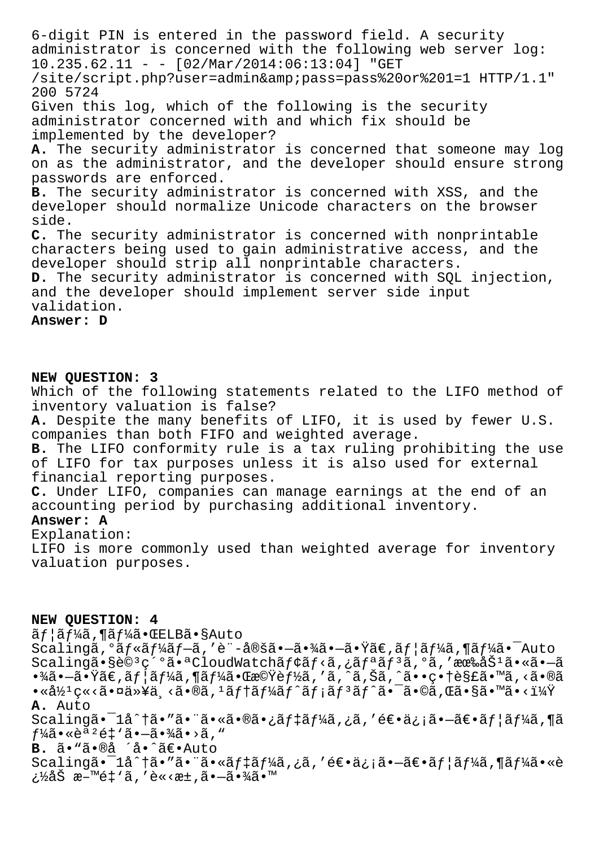6-digit PIN is entered in the password field. A security administrator is concerned with the following web server log:  $10.235.62.11 - - [02/Mar/2014:06:13:04]$  "GET /site/script.php?user=admin&pass=pass%20or%201=1 HTTP/1.1" 200 5724 Given this log, which of the following is the security administrator concerned with and which fix should be implemented by the developer? A. The security administrator is concerned that someone may log on as the administrator, and the developer should ensure strong passwords are enforced. B. The security administrator is concerned with XSS, and the developer should normalize Unicode characters on the browser side. C. The security administrator is concerned with nonprintable characters being used to gain administrative access, and the developer should strip all nonprintable characters. D. The security administrator is concerned with SOL injection, and the developer should implement server side input validation. Answer: D

# NEW QUESTION: 3

Which of the following statements related to the LIFO method of inventory valuation is false?

A. Despite the many benefits of LIFO, it is used by fewer U.S. companies than both FIFO and weighted average.

B. The LIFO conformity rule is a tax ruling prohibiting the use of LIFO for tax purposes unless it is also used for external financial reporting purposes.

C. Under LIFO, companies can manage earnings at the end of an accounting period by purchasing additional inventory.

## Answer: A

Explanation:

LIFO is more commonly used than weighted average for inventory valuation purposes.

### NEW QUESTION: 4

ãf¦ãf¼ã,¶ãf¼ã•ŒELBã•§Auto

Scalingã,  $0$ ã $f$ «ã $f$ ¼ã $f$ -ã, 'è"-定ã•-㕾ã•-㕟ã€,ã $f$ |ã $f$ ¼ã, ¶ã $f$ ¼ã• $^-$ Auto Scalingã•§è©<sup>3</sup>紺㕪CloudWatchãf¢ãf<ã,¿ãfªãf<sup>3</sup>ã,ºã,'有åŠ<sup>1</sup>ã•«ã•—ã  $\cdot$ ¾ã $\cdot$ –ã $\cdot$ Ÿã $\in$ ,ã $f$ |ã $f$ ¼ã,¶ã $f$ ¼ã $\cdot$ Œœ©Ÿè $f$ ½ã, ′ã,  $\hat{\;}$ ã, Šã,  $\hat{\;}$ ã $\cdot$ •ç $\cdot$ †è§£ã $\cdot$ ™ã, <ã $\cdot$ ®ã  $\bullet$ «å½ $^1$ ç«<ã $\bullet$ ¤ä»¥ä¸<ã $\bullet$ ®ã, $^1$ ã $f$ †ã $f$ ¼ã $f$ ^ã $f$ ¡ã $f$  $^3$ ã $f$ ^ã $\bullet$  $^-$ ã $\bullet$ ©ã,Œã $\bullet$ §ã $\bullet$ ™ã $\bullet$ <ï¼ $\ddot{\mathrm{Y}}$ A. Auto

 $Scalinga-i\hat{a}^*$ ia tão "ão "ão «ão®ão;ãf‡ãf¼ã,¿ã,'é∈oä¿jão -ã∈oãf¦ãf¼ã,¶ã  $f\frac{1}{4}$ ã•«èª <sup>2</sup>é‡ 'ã•-㕾ã•>ã, "

B. ã. "ã.®å ´å. ^ã€. Auto

Scalingã•<sup>-</sup>1å^†ã•"ã•"ã•«ãf‡ãf¼ã,¿ã,′逕ä¿¡ã•-〕ãf¦ãf¼ã,¶ãf¼ã•«è ¿½åŠ æ-™é‡`ã,′è«<æ±,ã•-㕾ã•™